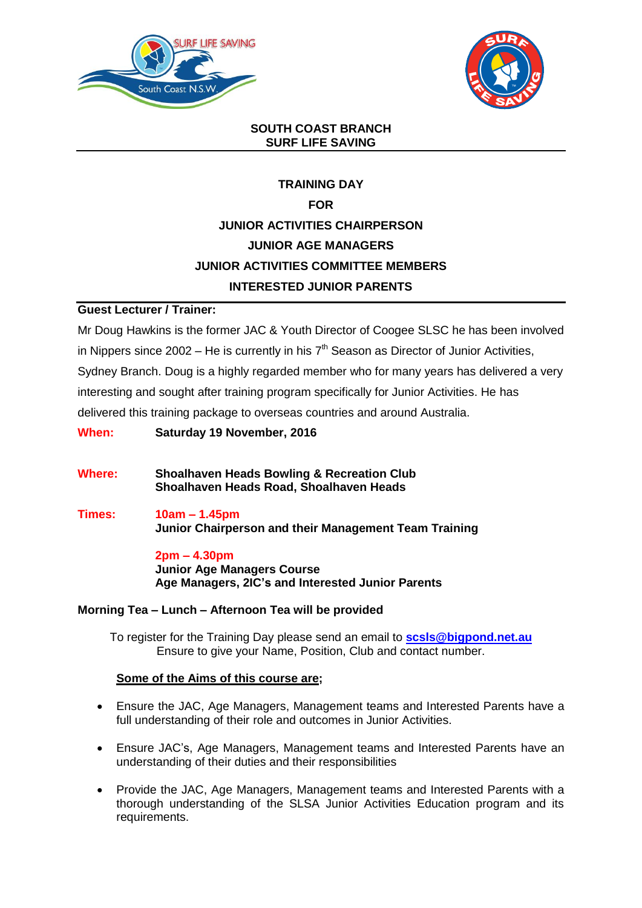



### **SOUTH COAST BRANCH SURF LIFE SAVING**

# **TRAINING DAY FOR JUNIOR ACTIVITIES CHAIRPERSON JUNIOR AGE MANAGERS JUNIOR ACTIVITIES COMMITTEE MEMBERS INTERESTED JUNIOR PARENTS**

### **Guest Lecturer / Trainer:**

Mr Doug Hawkins is the former JAC & Youth Director of Coogee SLSC he has been involved in Nippers since  $2002$  – He is currently in his  $7<sup>th</sup>$  Season as Director of Junior Activities, Sydney Branch. Doug is a highly regarded member who for many years has delivered a very interesting and sought after training program specifically for Junior Activities. He has delivered this training package to overseas countries and around Australia.

**When: Saturday 19 November, 2016**

**Where: Shoalhaven Heads Bowling & Recreation Club Shoalhaven Heads Road, Shoalhaven Heads**

**Times: 10am – 1.45pm Junior Chairperson and their Management Team Training**

> **2pm – 4.30pm Junior Age Managers Course Age Managers, 2IC's and Interested Junior Parents**

### **Morning Tea – Lunch – Afternoon Tea will be provided**

To register for the Training Day please send an email to **[scsls@bigpond.net.au](mailto:scsls@bigpond.net.au)** Ensure to give your Name, Position, Club and contact number.

#### **Some of the Aims of this course are;**

- Ensure the JAC, Age Managers, Management teams and Interested Parents have a full understanding of their role and outcomes in Junior Activities.
- Ensure JAC's, Age Managers, Management teams and Interested Parents have an understanding of their duties and their responsibilities
- Provide the JAC, Age Managers, Management teams and Interested Parents with a thorough understanding of the SLSA Junior Activities Education program and its requirements.